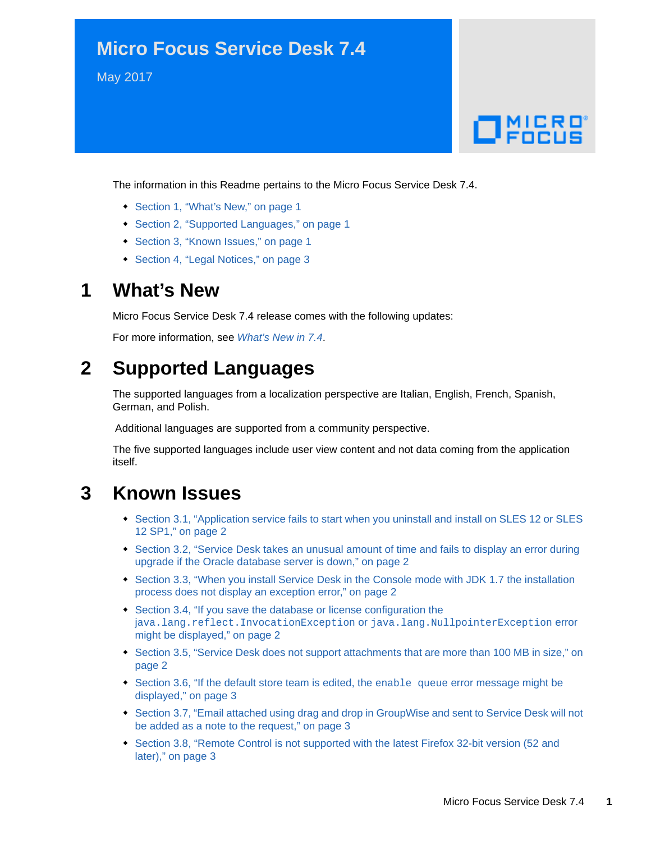# **Micro Focus Service Desk 7.4**

May 2017

# $\Box$  MICRO'

The information in this Readme pertains to the Micro Focus Service Desk 7.4.

- [Section 1, "What's New," on page 1](#page-0-0)
- [Section 2, "Supported Languages," on page 1](#page-0-1)
- [Section 3, "Known Issues," on page 1](#page-0-2)
- [Section 4, "Legal Notices," on page 3](#page-2-3)

## <span id="page-0-0"></span>**1 What's New**

Micro Focus Service Desk 7.4 release comes with the following updates:

For more information, see *[What's New in 7.4](https://www.novell.com/documentation/servicedesk-74/service_desk_whats_new/data/service_desk_whats_new.html)*.

# <span id="page-0-1"></span>**2 Supported Languages**

The supported languages from a localization perspective are Italian, English, French, Spanish, German, and Polish.

Additional languages are supported from a community perspective.

The five supported languages include user view content and not data coming from the application itself.

# <span id="page-0-2"></span>**3 Known Issues**

- \* Section 3.1, "Application service fails to start when you uninstall and install on SLES 12 or SLES [12 SP1," on page 2](#page-1-4)
- Section 3.2, "Service Desk takes an unusual amount of time and fails to display an error during [upgrade if the Oracle database server is down," on page 2](#page-1-0)
- [Section 3.3, "When you install Service Desk in the Console mode with JDK 1.7 the installation](#page-1-2)  [process does not display an exception error," on page 2](#page-1-2)
- [Section 3.4, "If you save the database or license configuration the](#page-1-3)  j[ava.lang.reflect.InvocationException](#page-1-3) or java.lang.NullpointerException error [might be displayed," on page 2](#page-1-3)
- Section 3.5, "Service Desk does not support attachments that are more than 100 MB in size," on [page 2](#page-1-1)
- [Section 3.6, "If the default store team is edited, the](#page-2-1) enable queue error message might be [displayed," on page 3](#page-2-1)
- Section 3.7, "Email attached using drag and drop in GroupWise and sent to Service Desk will not [be added as a note to the request," on page 3](#page-2-2)
- [Section 3.8, "Remote Control is not supported with the latest Firefox 32-bit version \(52 and](#page-2-0)  [later\)," on page 3](#page-2-0)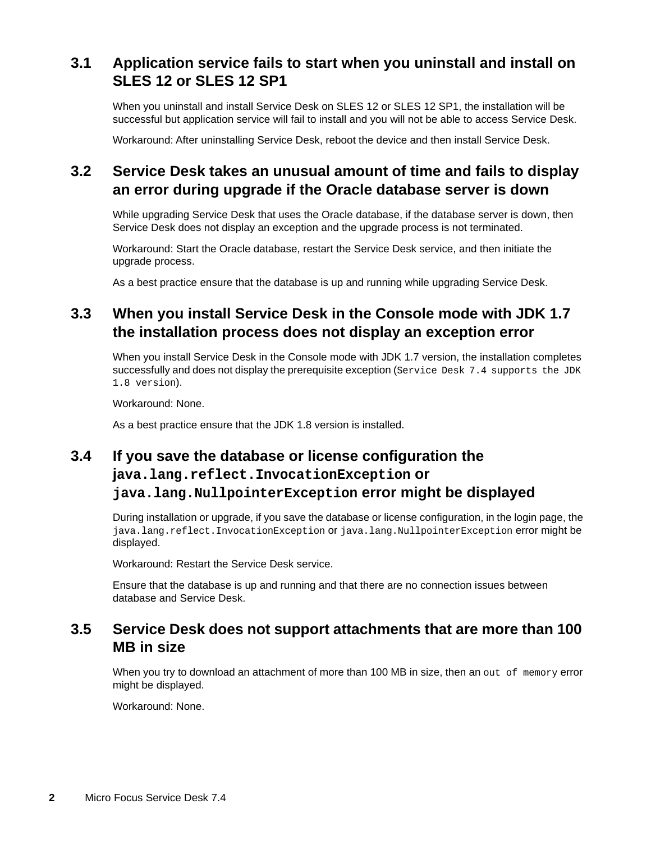## <span id="page-1-4"></span>**3.1 Application service fails to start when you uninstall and install on SLES 12 or SLES 12 SP1**

When you uninstall and install Service Desk on SLES 12 or SLES 12 SP1, the installation will be successful but application service will fail to install and you will not be able to access Service Desk.

Workaround: After uninstalling Service Desk, reboot the device and then install Service Desk.

#### <span id="page-1-0"></span>**3.2 Service Desk takes an unusual amount of time and fails to display an error during upgrade if the Oracle database server is down**

While upgrading Service Desk that uses the Oracle database, if the database server is down, then Service Desk does not display an exception and the upgrade process is not terminated.

Workaround: Start the Oracle database, restart the Service Desk service, and then initiate the upgrade process.

As a best practice ensure that the database is up and running while upgrading Service Desk.

## <span id="page-1-2"></span>**3.3 When you install Service Desk in the Console mode with JDK 1.7 the installation process does not display an exception error**

When you install Service Desk in the Console mode with JDK 1.7 version, the installation completes successfully and does not display the prerequisite exception (Service Desk 7.4 supports the JDK 1.8 version).

Workaround: None.

As a best practice ensure that the JDK 1.8 version is installed.

## <span id="page-1-3"></span>**3.4 If you save the database or license configuration the java.lang.reflect.InvocationException or java.lang.NullpointerException error might be displayed**

During installation or upgrade, if you save the database or license configuration, in the login page, the java.lang.reflect.InvocationException or java.lang.NullpointerException error might be displayed.

Workaround: Restart the Service Desk service.

Ensure that the database is up and running and that there are no connection issues between database and Service Desk.

#### <span id="page-1-1"></span>**3.5 Service Desk does not support attachments that are more than 100 MB in size**

When you try to download an attachment of more than 100 MB in size, then an out of memory error might be displayed.

Workaround: None.